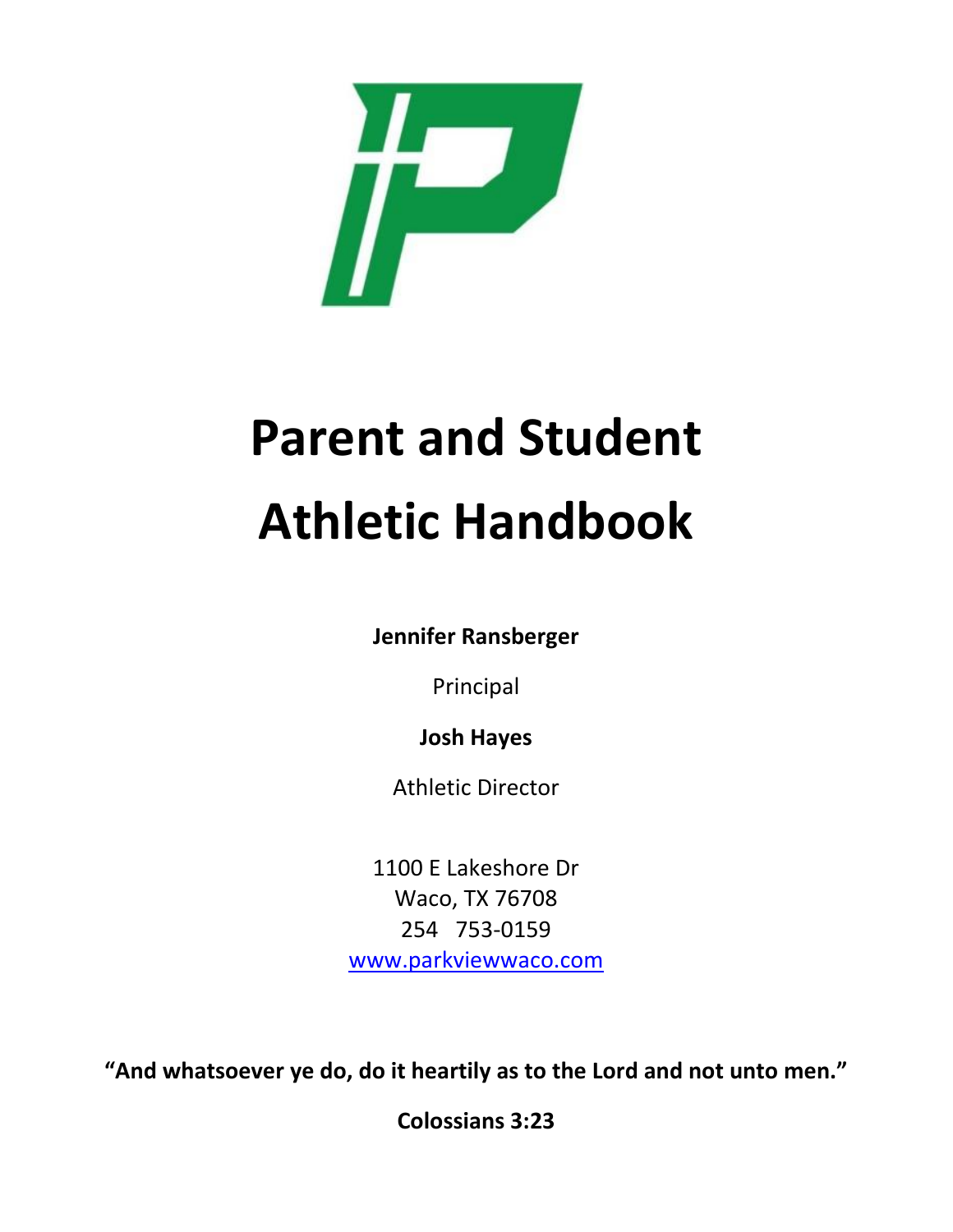

# **Parent and Student Athletic Handbook**

**Jennifer Ransberger**

Principal

**Josh Hayes**

Athletic Director

1100 E Lakeshore Dr Waco, TX 76708 254 753-0159 [www.parkviewwaco.com](http://www.parkviewwaco.com/)

**"And whatsoever ye do, do it heartily as to the Lord and not unto men."**

**Colossians 3:23**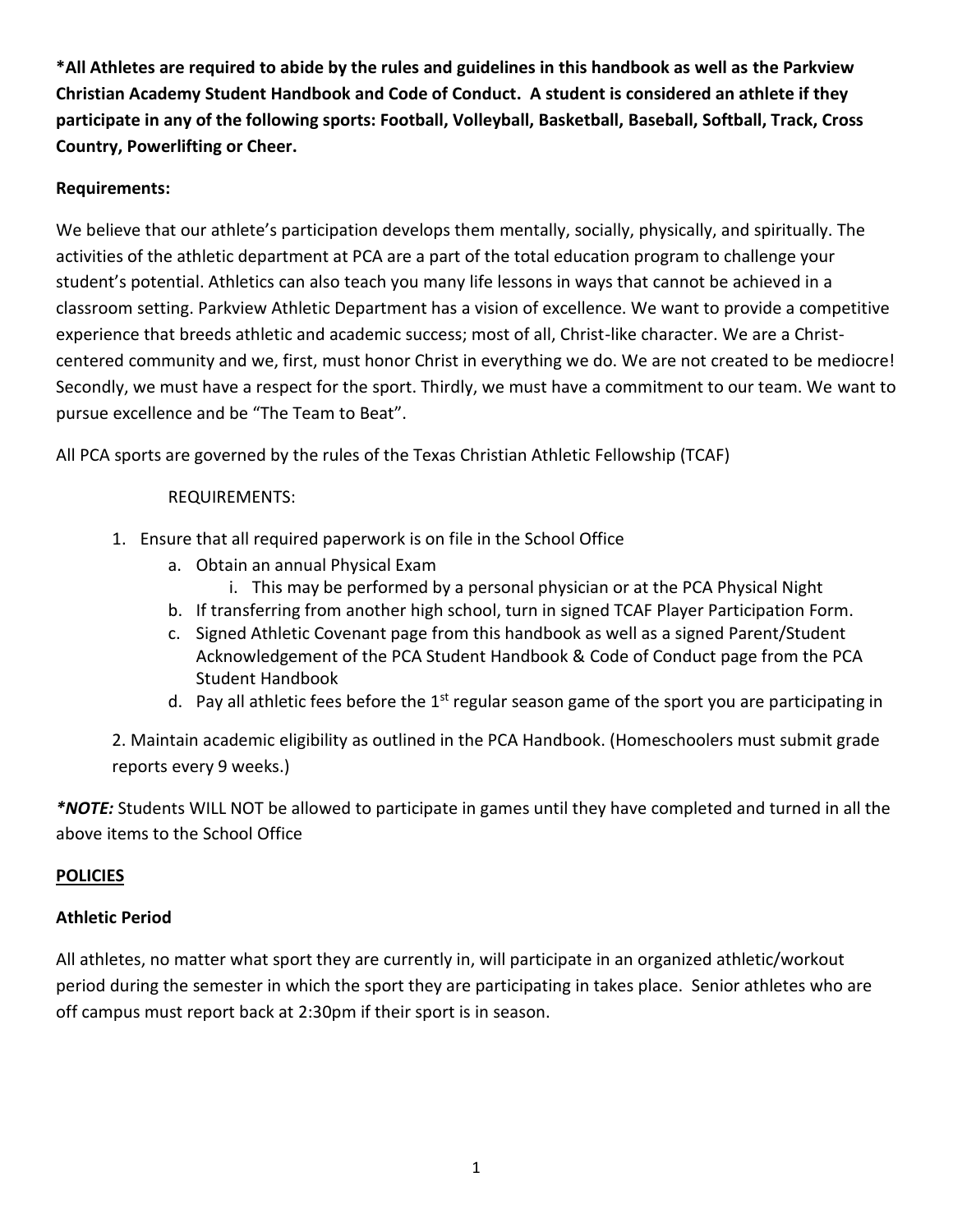**\*All Athletes are required to abide by the rules and guidelines in this handbook as well as the Parkview Christian Academy Student Handbook and Code of Conduct. A student is considered an athlete if they participate in any of the following sports: Football, Volleyball, Basketball, Baseball, Softball, Track, Cross Country, Powerlifting or Cheer.**

#### **Requirements:**

We believe that our athlete's participation develops them mentally, socially, physically, and spiritually. The activities of the athletic department at PCA are a part of the total education program to challenge your student's potential. Athletics can also teach you many life lessons in ways that cannot be achieved in a classroom setting. Parkview Athletic Department has a vision of excellence. We want to provide a competitive experience that breeds athletic and academic success; most of all, Christ-like character. We are a Christcentered community and we, first, must honor Christ in everything we do. We are not created to be mediocre! Secondly, we must have a respect for the sport. Thirdly, we must have a commitment to our team. We want to pursue excellence and be "The Team to Beat".

All PCA sports are governed by the rules of the Texas Christian Athletic Fellowship (TCAF)

#### REQUIREMENTS:

- 1. Ensure that all required paperwork is on file in the School Office
	- a. Obtain an annual Physical Exam
		- i. This may be performed by a personal physician or at the PCA Physical Night
	- b. If transferring from another high school, turn in signed TCAF Player Participation Form.
	- c. Signed Athletic Covenant page from this handbook as well as a signed Parent/Student Acknowledgement of the PCA Student Handbook & Code of Conduct page from the PCA Student Handbook
	- d. Pay all athletic fees before the  $1<sup>st</sup>$  regular season game of the sport you are participating in

2. Maintain academic eligibility as outlined in the PCA Handbook. (Homeschoolers must submit grade reports every 9 weeks.)

*\*NOTE:* Students WILL NOT be allowed to participate in games until they have completed and turned in all the above items to the School Office

#### **POLICIES**

#### **Athletic Period**

All athletes, no matter what sport they are currently in, will participate in an organized athletic/workout period during the semester in which the sport they are participating in takes place. Senior athletes who are off campus must report back at 2:30pm if their sport is in season.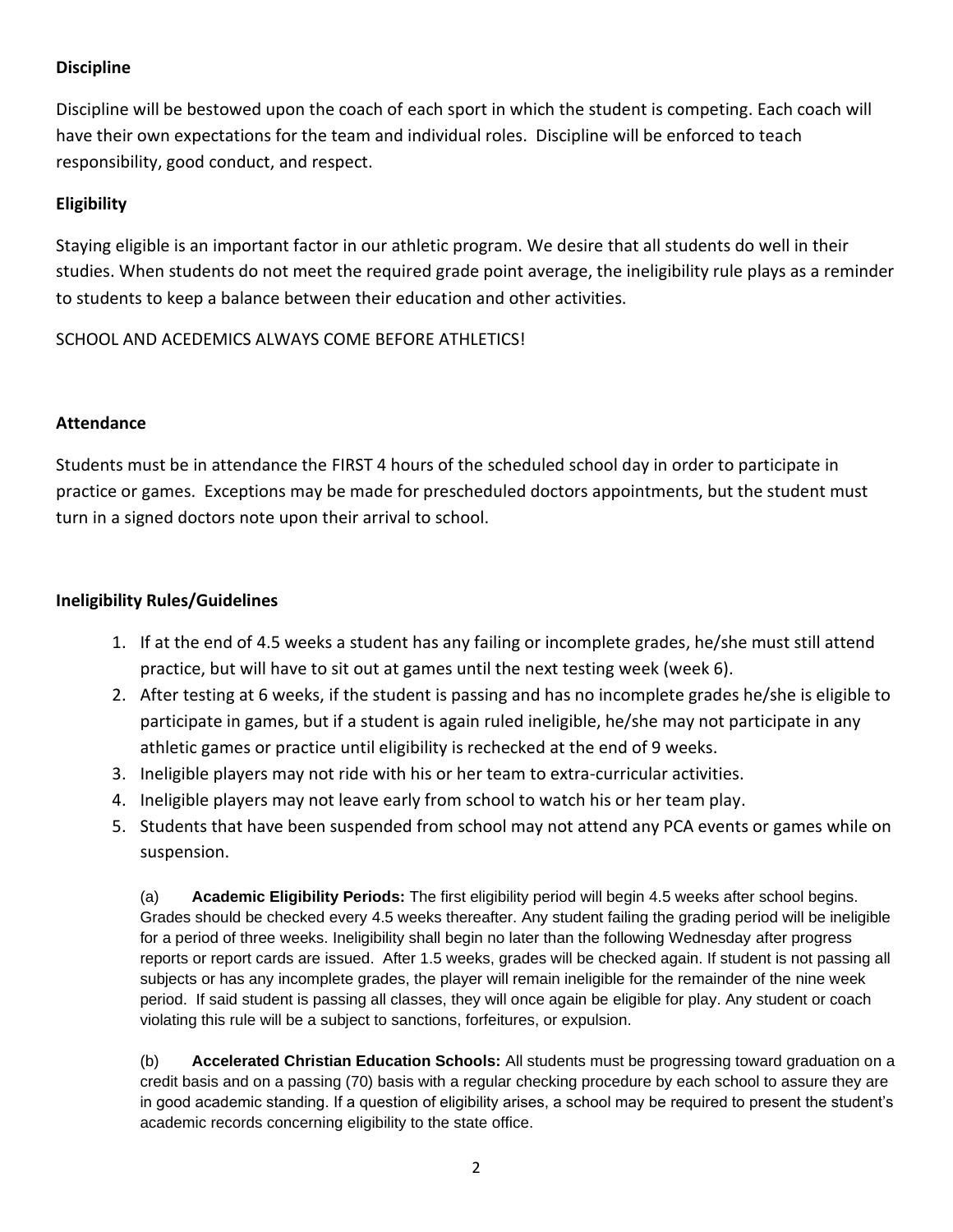## **Discipline**

Discipline will be bestowed upon the coach of each sport in which the student is competing. Each coach will have their own expectations for the team and individual roles. Discipline will be enforced to teach responsibility, good conduct, and respect.

## **Eligibility**

Staying eligible is an important factor in our athletic program. We desire that all students do well in their studies. When students do not meet the required grade point average, the ineligibility rule plays as a reminder to students to keep a balance between their education and other activities.

SCHOOL AND ACEDEMICS ALWAYS COME BEFORE ATHLETICS!

#### **Attendance**

Students must be in attendance the FIRST 4 hours of the scheduled school day in order to participate in practice or games. Exceptions may be made for prescheduled doctors appointments, but the student must turn in a signed doctors note upon their arrival to school.

#### **Ineligibility Rules/Guidelines**

- 1. If at the end of 4.5 weeks a student has any failing or incomplete grades, he/she must still attend practice, but will have to sit out at games until the next testing week (week 6).
- 2. After testing at 6 weeks, if the student is passing and has no incomplete grades he/she is eligible to participate in games, but if a student is again ruled ineligible, he/she may not participate in any athletic games or practice until eligibility is rechecked at the end of 9 weeks.
- 3. Ineligible players may not ride with his or her team to extra-curricular activities.
- 4. Ineligible players may not leave early from school to watch his or her team play.
- 5. Students that have been suspended from school may not attend any PCA events or games while on suspension.

(a) **Academic Eligibility Periods:** The first eligibility period will begin 4.5 weeks after school begins. Grades should be checked every 4.5 weeks thereafter. Any student failing the grading period will be ineligible for a period of three weeks. Ineligibility shall begin no later than the following Wednesday after progress reports or report cards are issued. After 1.5 weeks, grades will be checked again. If student is not passing all subjects or has any incomplete grades, the player will remain ineligible for the remainder of the nine week period. If said student is passing all classes, they will once again be eligible for play. Any student or coach violating this rule will be a subject to sanctions, forfeitures, or expulsion.

(b) **Accelerated Christian Education Schools:** All students must be progressing toward graduation on a credit basis and on a passing (70) basis with a regular checking procedure by each school to assure they are in good academic standing. If a question of eligibility arises, a school may be required to present the student's academic records concerning eligibility to the state office.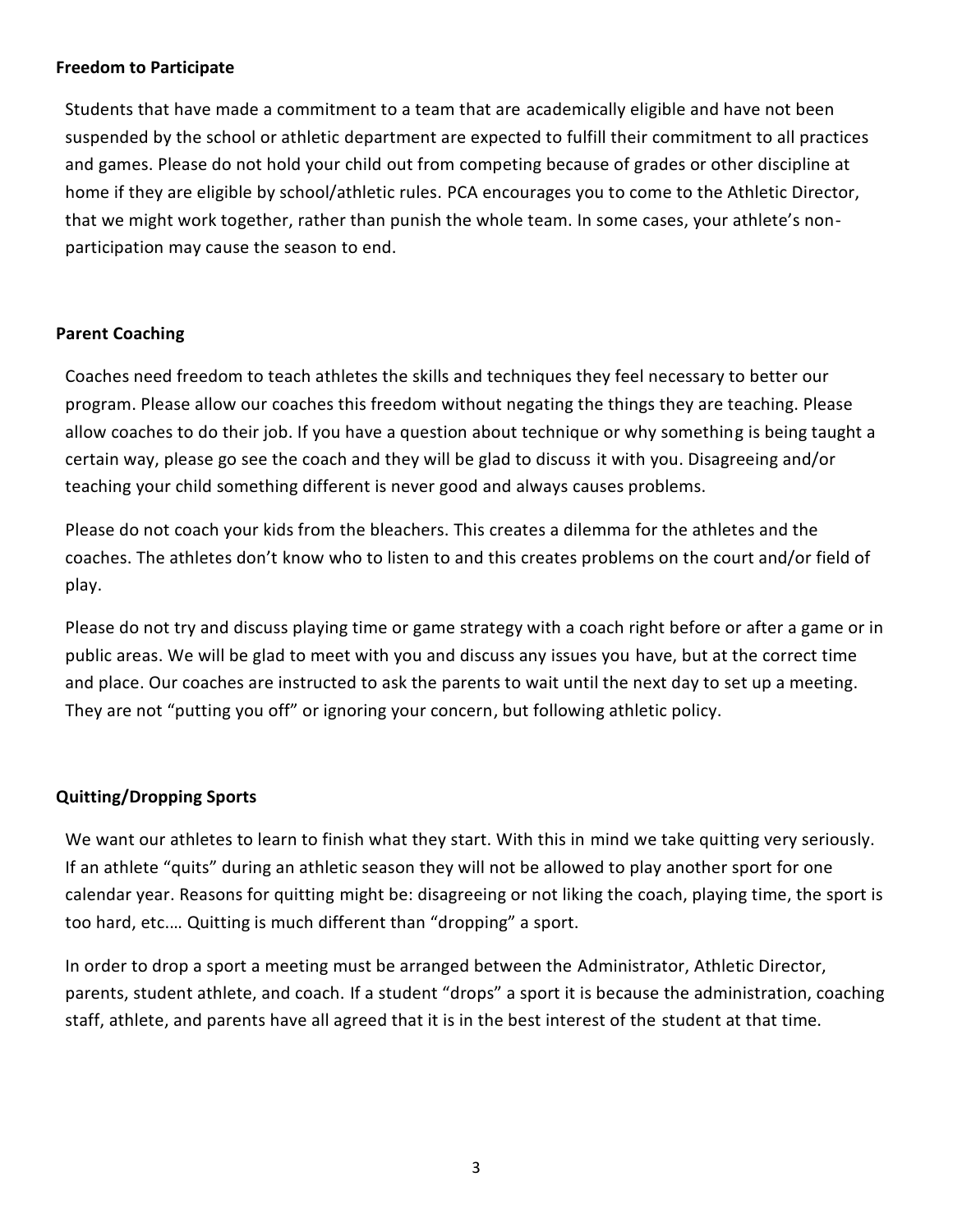#### **Freedom to Participate**

Students that have made a commitment to a team that are academically eligible and have not been suspended by the school or athletic department are expected to fulfill their commitment to all practices and games. Please do not hold your child out from competing because of grades or other discipline at home if they are eligible by school/athletic rules. PCA encourages you to come to the Athletic Director, that we might work together, rather than punish the whole team. In some cases, your athlete's nonparticipation may cause the season to end.

#### **Parent Coaching**

Coaches need freedom to teach athletes the skills and techniques they feel necessary to better our program. Please allow our coaches this freedom without negating the things they are teaching. Please allow coaches to do their job. If you have a question about technique or why something is being taught a certain way, please go see the coach and they will be glad to discuss it with you. Disagreeing and/or teaching your child something different is never good and always causes problems.

Please do not coach your kids from the bleachers. This creates a dilemma for the athletes and the coaches. The athletes don't know who to listen to and this creates problems on the court and/or field of play.

Please do not try and discuss playing time or game strategy with a coach right before or after a game or in public areas. We will be glad to meet with you and discuss any issues you have, but at the correct time and place. Our coaches are instructed to ask the parents to wait until the next day to set up a meeting. They are not "putting you off" or ignoring your concern, but following athletic policy.

#### **Quitting/Dropping Sports**

We want our athletes to learn to finish what they start. With this in mind we take quitting very seriously. If an athlete "quits" during an athletic season they will not be allowed to play another sport for one calendar year. Reasons for quitting might be: disagreeing or not liking the coach, playing time, the sport is too hard, etc.… Quitting is much different than "dropping" a sport.

In order to drop a sport a meeting must be arranged between the Administrator, Athletic Director, parents, student athlete, and coach. If a student "drops" a sport it is because the administration, coaching staff, athlete, and parents have all agreed that it is in the best interest of the student at that time.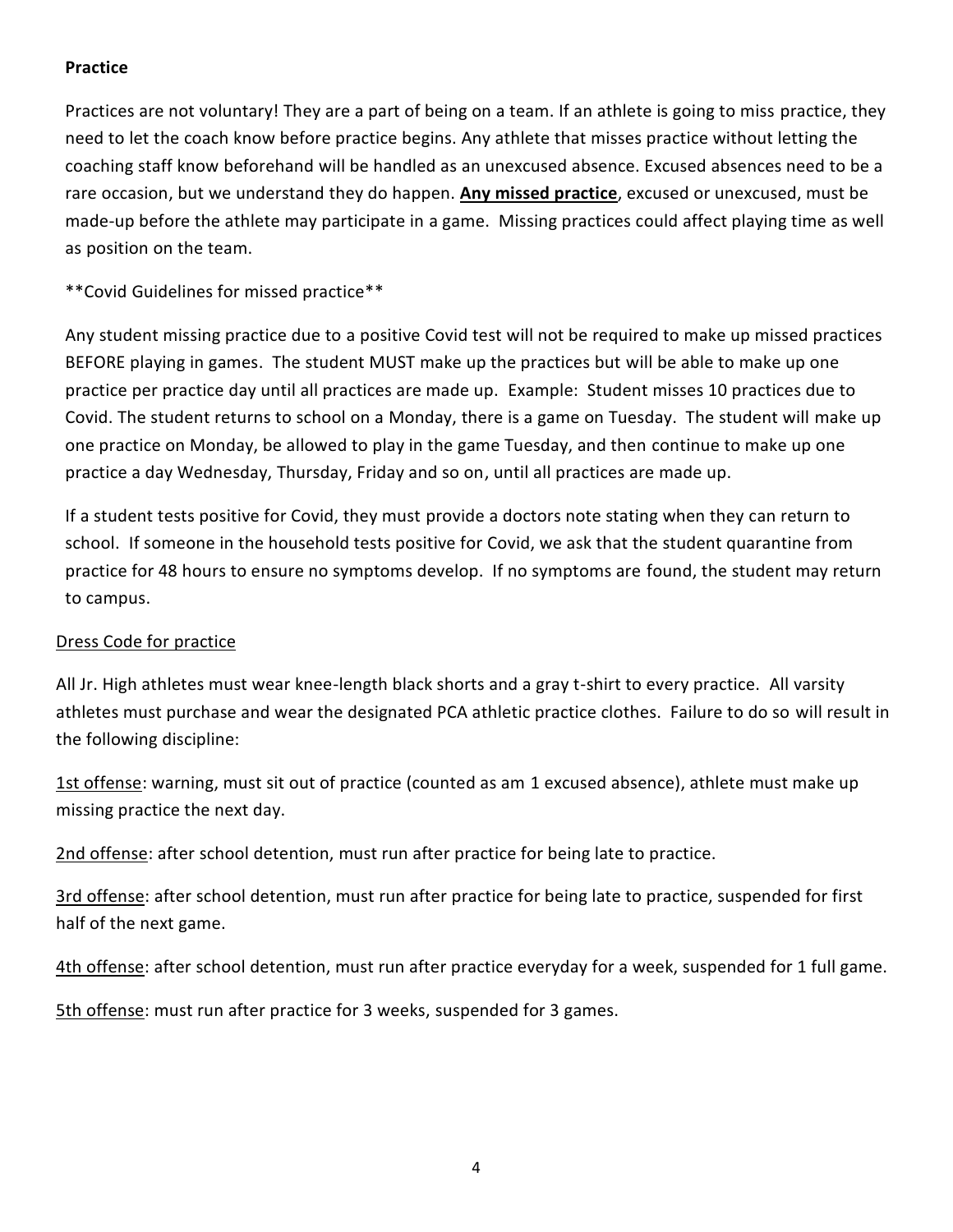## **Practice**

Practices are not voluntary! They are a part of being on a team. If an athlete is going to miss practice, they need to let the coach know before practice begins. Any athlete that misses practice without letting the coaching staff know beforehand will be handled as an unexcused absence. Excused absences need to be a rare occasion, but we understand they do happen. **Any missed practice**, excused or unexcused, must be made-up before the athlete may participate in a game. Missing practices could affect playing time as well as position on the team.

\*\*Covid Guidelines for missed practice\*\*

Any student missing practice due to a positive Covid test will not be required to make up missed practices BEFORE playing in games. The student MUST make up the practices but will be able to make up one practice per practice day until all practices are made up. Example: Student misses 10 practices due to Covid. The student returns to school on a Monday, there is a game on Tuesday. The student will make up one practice on Monday, be allowed to play in the game Tuesday, and then continue to make up one practice a day Wednesday, Thursday, Friday and so on, until all practices are made up.

If a student tests positive for Covid, they must provide a doctors note stating when they can return to school. If someone in the household tests positive for Covid, we ask that the student quarantine from practice for 48 hours to ensure no symptoms develop. If no symptoms are found, the student may return to campus.

#### Dress Code for practice

All Jr. High athletes must wear knee-length black shorts and a gray t-shirt to every practice. All varsity athletes must purchase and wear the designated PCA athletic practice clothes. Failure to do so will result in the following discipline:

1st offense: warning, must sit out of practice (counted as am 1 excused absence), athlete must make up missing practice the next day.

2nd offense: after school detention, must run after practice for being late to practice.

3rd offense: after school detention, must run after practice for being late to practice, suspended for first half of the next game.

4th offense: after school detention, must run after practice everyday for a week, suspended for 1 full game.

5th offense: must run after practice for 3 weeks, suspended for 3 games.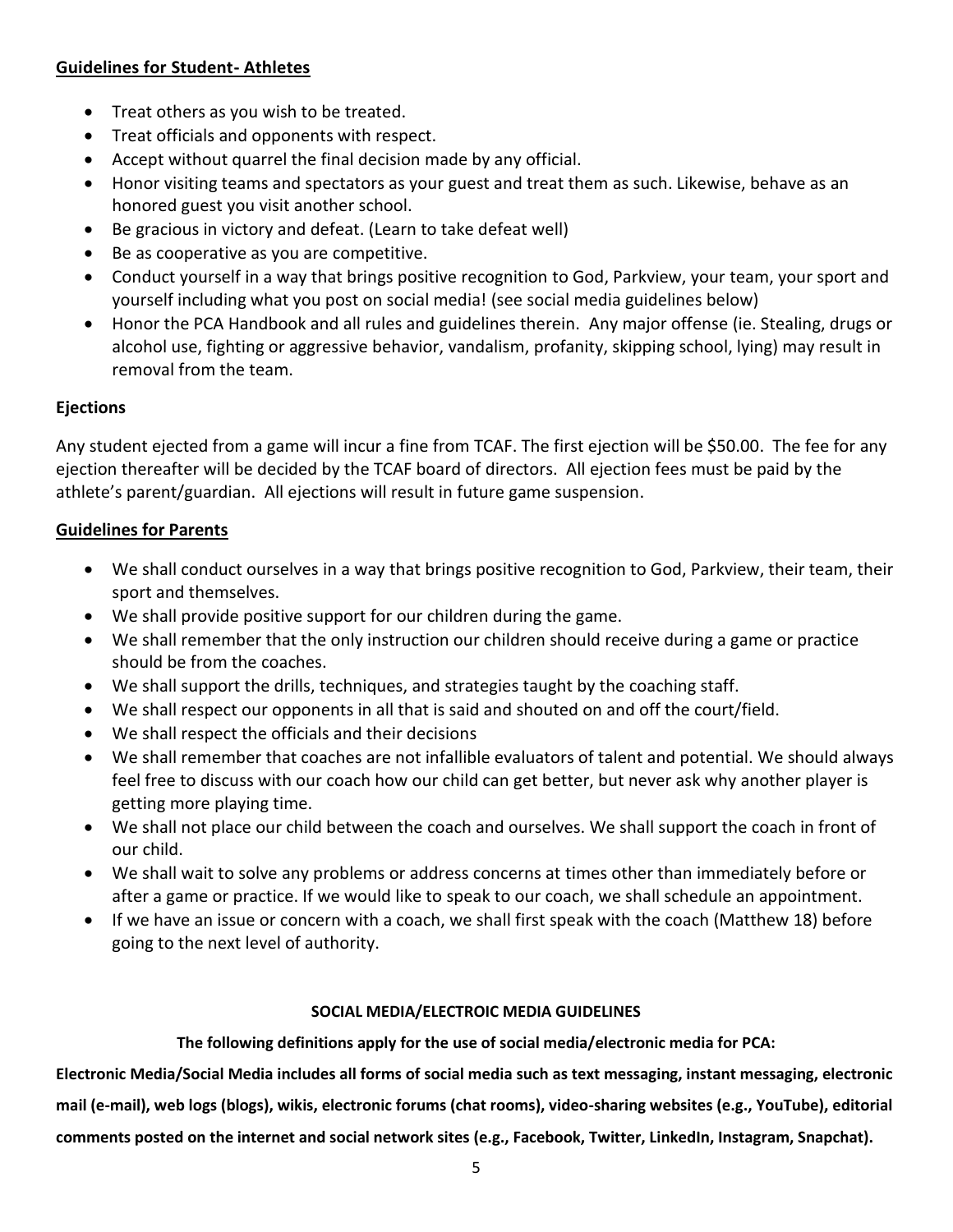#### **Guidelines for Student- Athletes**

- Treat others as you wish to be treated.
- Treat officials and opponents with respect.
- Accept without quarrel the final decision made by any official.
- Honor visiting teams and spectators as your guest and treat them as such. Likewise, behave as an honored guest you visit another school.
- Be gracious in victory and defeat. (Learn to take defeat well)
- Be as cooperative as you are competitive.
- Conduct yourself in a way that brings positive recognition to God, Parkview, your team, your sport and yourself including what you post on social media! (see social media guidelines below)
- Honor the PCA Handbook and all rules and guidelines therein. Any major offense (ie. Stealing, drugs or alcohol use, fighting or aggressive behavior, vandalism, profanity, skipping school, lying) may result in removal from the team.

## **Ejections**

Any student ejected from a game will incur a fine from TCAF. The first ejection will be \$50.00. The fee for any ejection thereafter will be decided by the TCAF board of directors. All ejection fees must be paid by the athlete's parent/guardian. All ejections will result in future game suspension.

## **Guidelines for Parents**

- We shall conduct ourselves in a way that brings positive recognition to God, Parkview, their team, their sport and themselves.
- We shall provide positive support for our children during the game.
- We shall remember that the only instruction our children should receive during a game or practice should be from the coaches.
- We shall support the drills, techniques, and strategies taught by the coaching staff.
- We shall respect our opponents in all that is said and shouted on and off the court/field.
- We shall respect the officials and their decisions
- We shall remember that coaches are not infallible evaluators of talent and potential. We should always feel free to discuss with our coach how our child can get better, but never ask why another player is getting more playing time.
- We shall not place our child between the coach and ourselves. We shall support the coach in front of our child.
- We shall wait to solve any problems or address concerns at times other than immediately before or after a game or practice. If we would like to speak to our coach, we shall schedule an appointment.
- If we have an issue or concern with a coach, we shall first speak with the coach (Matthew 18) before going to the next level of authority.

#### **SOCIAL MEDIA/ELECTROIC MEDIA GUIDELINES**

**The following definitions apply for the use of social media/electronic media for PCA:**

**Electronic Media/Social Media includes all forms of social media such as text messaging, instant messaging, electronic mail (e-mail), web logs (blogs), wikis, electronic forums (chat rooms), video-sharing websites (e.g., YouTube), editorial comments posted on the internet and social network sites (e.g., Facebook, Twitter, LinkedIn, Instagram, Snapchat).**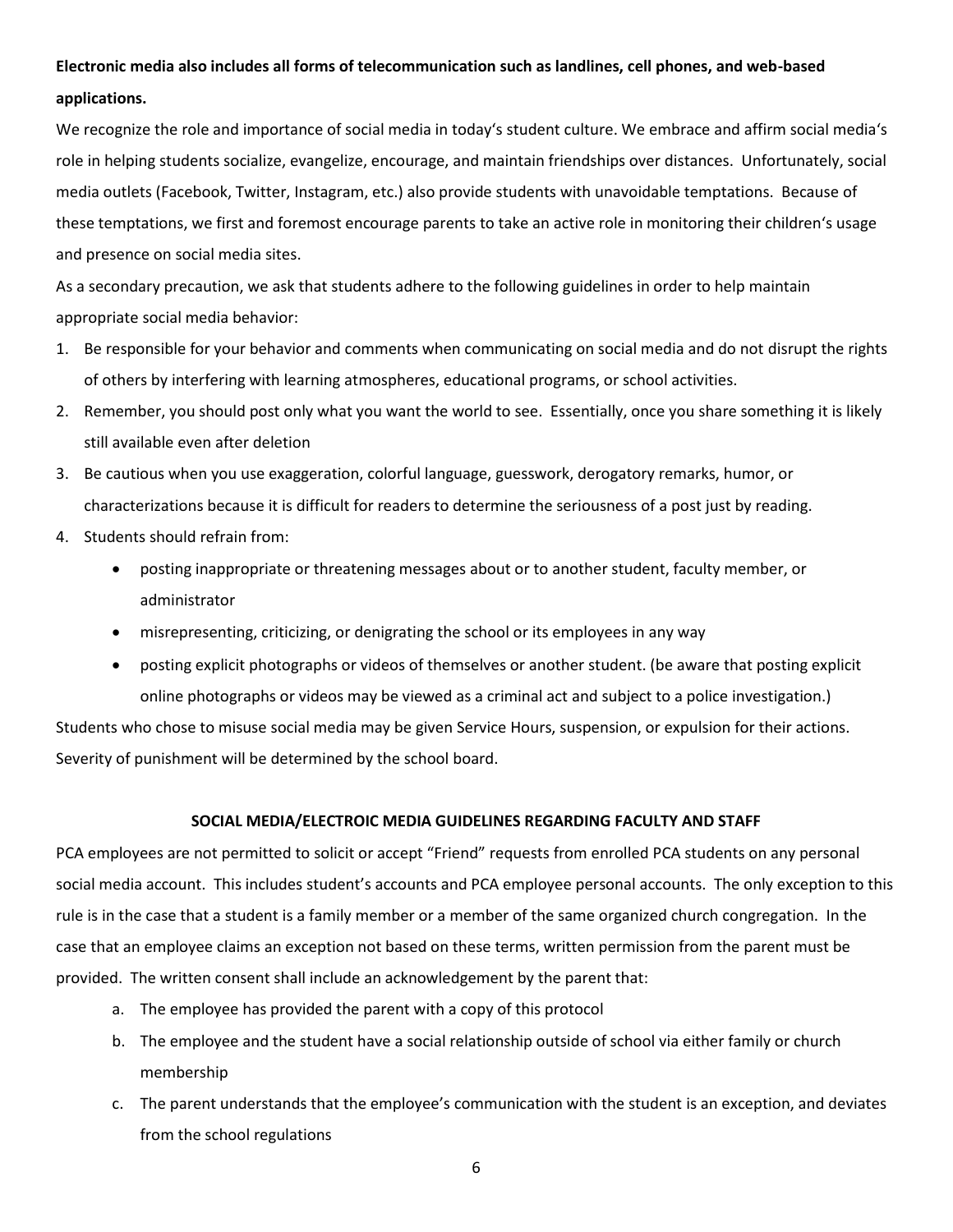## **Electronic media also includes all forms of telecommunication such as landlines, cell phones, and web-based applications.**

We recognize the role and importance of social media in today's student culture. We embrace and affirm social media's role in helping students socialize, evangelize, encourage, and maintain friendships over distances. Unfortunately, social media outlets (Facebook, Twitter, Instagram, etc.) also provide students with unavoidable temptations. Because of these temptations, we first and foremost encourage parents to take an active role in monitoring their children's usage and presence on social media sites.

As a secondary precaution, we ask that students adhere to the following guidelines in order to help maintain appropriate social media behavior:

- 1. Be responsible for your behavior and comments when communicating on social media and do not disrupt the rights of others by interfering with learning atmospheres, educational programs, or school activities.
- 2. Remember, you should post only what you want the world to see. Essentially, once you share something it is likely still available even after deletion
- 3. Be cautious when you use exaggeration, colorful language, guesswork, derogatory remarks, humor, or characterizations because it is difficult for readers to determine the seriousness of a post just by reading.
- 4. Students should refrain from:
	- posting inappropriate or threatening messages about or to another student, faculty member, or administrator
	- misrepresenting, criticizing, or denigrating the school or its employees in any way
	- posting explicit photographs or videos of themselves or another student. (be aware that posting explicit online photographs or videos may be viewed as a criminal act and subject to a police investigation.)

Students who chose to misuse social media may be given Service Hours, suspension, or expulsion for their actions. Severity of punishment will be determined by the school board.

#### **SOCIAL MEDIA/ELECTROIC MEDIA GUIDELINES REGARDING FACULTY AND STAFF**

PCA employees are not permitted to solicit or accept "Friend" requests from enrolled PCA students on any personal social media account. This includes student's accounts and PCA employee personal accounts. The only exception to this rule is in the case that a student is a family member or a member of the same organized church congregation. In the case that an employee claims an exception not based on these terms, written permission from the parent must be provided. The written consent shall include an acknowledgement by the parent that:

- a. The employee has provided the parent with a copy of this protocol
- b. The employee and the student have a social relationship outside of school via either family or church membership
- c. The parent understands that the employee's communication with the student is an exception, and deviates from the school regulations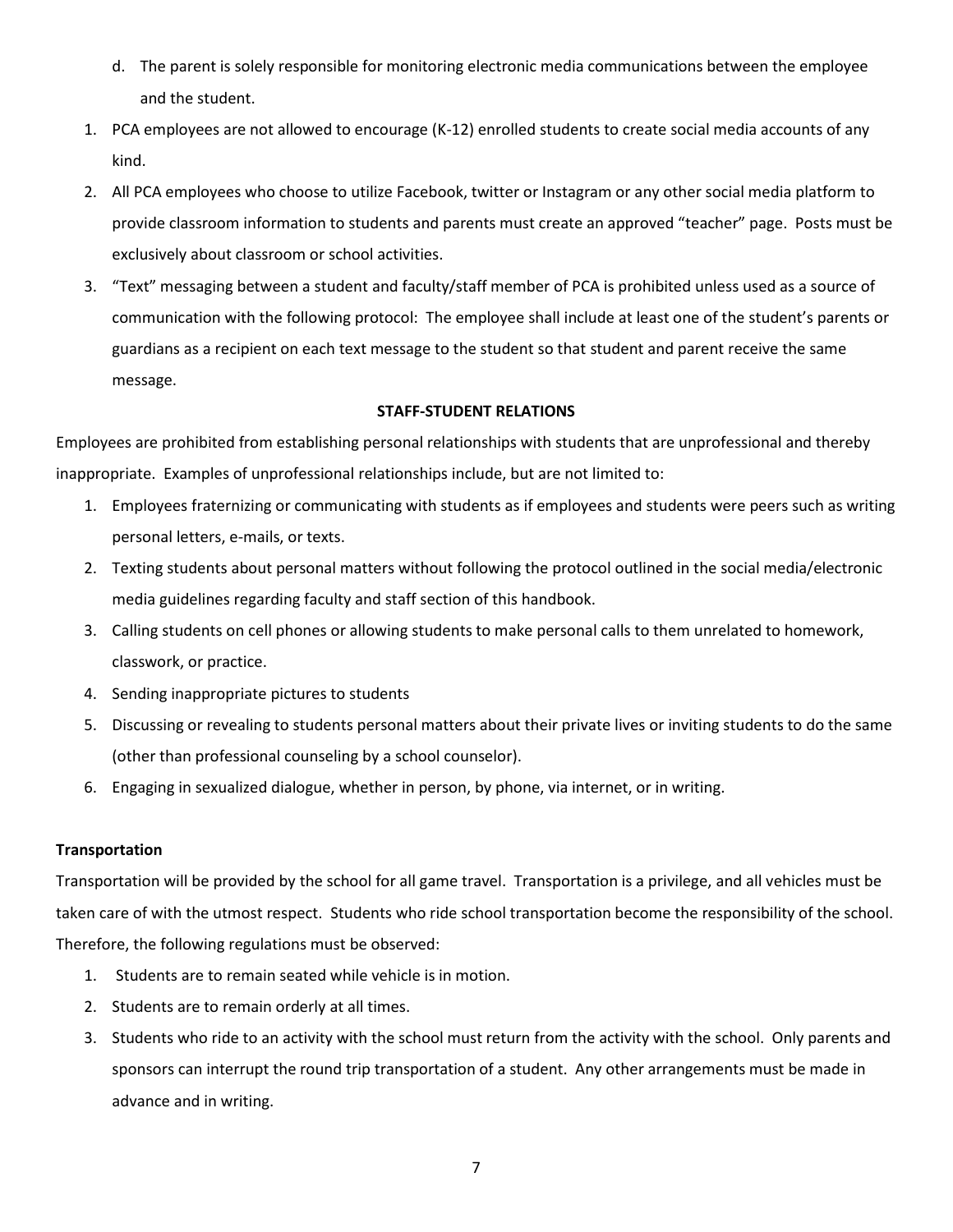- d. The parent is solely responsible for monitoring electronic media communications between the employee and the student.
- 1. PCA employees are not allowed to encourage (K-12) enrolled students to create social media accounts of any kind.
- 2. All PCA employees who choose to utilize Facebook, twitter or Instagram or any other social media platform to provide classroom information to students and parents must create an approved "teacher" page. Posts must be exclusively about classroom or school activities.
- 3. "Text" messaging between a student and faculty/staff member of PCA is prohibited unless used as a source of communication with the following protocol: The employee shall include at least one of the student's parents or guardians as a recipient on each text message to the student so that student and parent receive the same message.

#### **STAFF-STUDENT RELATIONS**

Employees are prohibited from establishing personal relationships with students that are unprofessional and thereby inappropriate. Examples of unprofessional relationships include, but are not limited to:

- 1. Employees fraternizing or communicating with students as if employees and students were peers such as writing personal letters, e-mails, or texts.
- 2. Texting students about personal matters without following the protocol outlined in the social media/electronic media guidelines regarding faculty and staff section of this handbook.
- 3. Calling students on cell phones or allowing students to make personal calls to them unrelated to homework, classwork, or practice.
- 4. Sending inappropriate pictures to students
- 5. Discussing or revealing to students personal matters about their private lives or inviting students to do the same (other than professional counseling by a school counselor).
- 6. Engaging in sexualized dialogue, whether in person, by phone, via internet, or in writing.

#### **Transportation**

Transportation will be provided by the school for all game travel. Transportation is a privilege, and all vehicles must be taken care of with the utmost respect. Students who ride school transportation become the responsibility of the school. Therefore, the following regulations must be observed:

- 1. Students are to remain seated while vehicle is in motion.
- 2. Students are to remain orderly at all times.
- 3. Students who ride to an activity with the school must return from the activity with the school. Only parents and sponsors can interrupt the round trip transportation of a student. Any other arrangements must be made in advance and in writing.